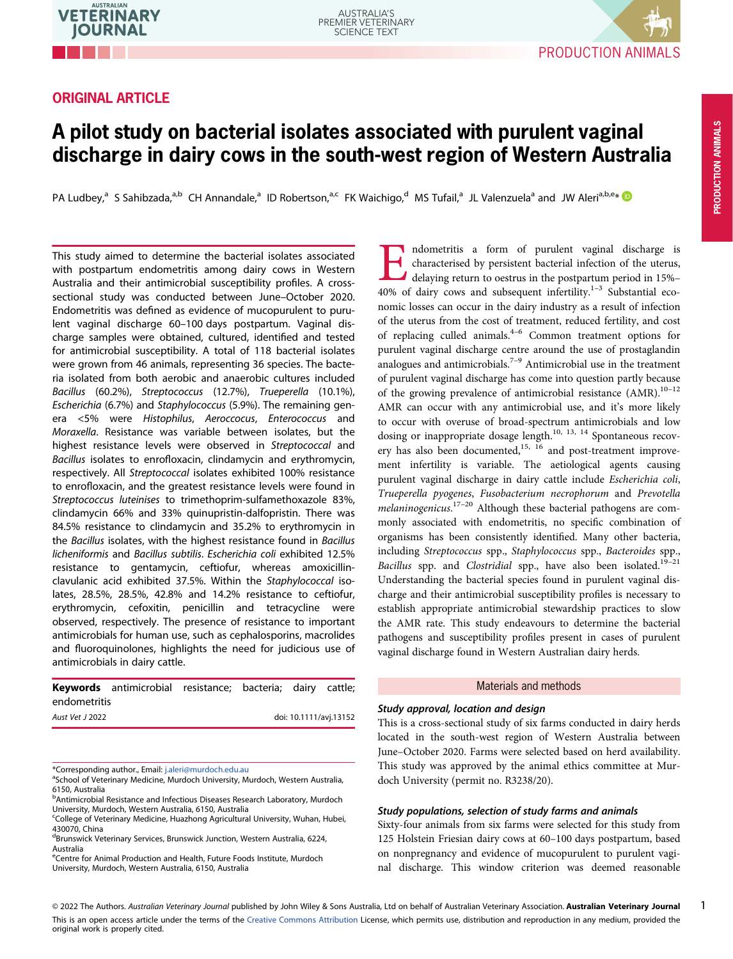# ORIGINAL ARTICLE



1

# A pilot study on bacterial isolates associated with purulent vaginal discharge in dairy cows in the south-west region of Western Australia

PA Ludbey,<sup>a</sup> S Sahibzada,<sup>a,b</sup> CH Annandale,<sup>a</sup> ID Robertson,<sup>a,c</sup> FK Waichigo,<sup>d</sup> MS Tufail,<sup>a</sup> JL Valenzuela<sup>a</sup> and JW Aleri<sup>a,b,e</sup>\*

This study aimed to determine the bacterial isolates associated with postpartum endometritis among dairy cows in Western Australia and their antimicrobial susceptibility profiles. A crosssectional study was conducted between June–October 2020. Endometritis was defined as evidence of mucopurulent to purulent vaginal discharge 60–100 days postpartum. Vaginal discharge samples were obtained, cultured, identified and tested for antimicrobial susceptibility. A total of 118 bacterial isolates were grown from 46 animals, representing 36 species. The bacteria isolated from both aerobic and anaerobic cultures included Bacillus (60.2%), Streptococcus (12.7%), Trueperella (10.1%), Escherichia (6.7%) and Staphylococcus (5.9%). The remaining genera <5% were Histophilus, Aeroccocus, Enterococcus and Moraxella. Resistance was variable between isolates, but the highest resistance levels were observed in Streptococcal and Bacillus isolates to enrofloxacin, clindamycin and erythromycin, respectively. All Streptococcal isolates exhibited 100% resistance to enrofloxacin, and the greatest resistance levels were found in Streptococcus luteinises to trimethoprim-sulfamethoxazole 83%, clindamycin 66% and 33% quinupristin-dalfopristin. There was 84.5% resistance to clindamycin and 35.2% to erythromycin in the Bacillus isolates, with the highest resistance found in Bacillus licheniformis and Bacillus subtilis. Escherichia coli exhibited 12.5% resistance to gentamycin, ceftiofur, whereas amoxicillinclavulanic acid exhibited 37.5%. Within the Staphylococcal isolates, 28.5%, 28.5%, 42.8% and 14.2% resistance to ceftiofur, erythromycin, cefoxitin, penicillin and tetracycline were observed, respectively. The presence of resistance to important antimicrobials for human use, such as cephalosporins, macrolides and fluoroquinolones, highlights the need for judicious use of antimicrobials in dairy cattle.

Keywords antimicrobial resistance; bacteria; dairy cattle; endometritis

| doi: 10.1111/avj.13152 |
|------------------------|
|                        |

\*Corresponding author., Email: [j.aleri@murdoch.edu.au](mailto:j.aleri@murdoch.edu.au) <sup>a</sup>

<sup>e</sup>Centre for Animal Production and Health, Future Foods Institute, Murdoch University, Murdoch, Western Australia, 6150, Australia

Indometritis a form of purulent vaginal discharge is<br>characterised by persistent bacterial infection of the uterus,<br>delaying return to oestrus in the postpartum period in 15%-<br>40% of dairy cows and subsequent infertility.<sup></sup> characterised by persistent bacterial infection of the uterus, delaying return to oestrus in the postpartum period in 15%–  $40\%$  of dairy cows and subsequent infertility.<sup>1-3</sup> Substantial economic losses can occur in the dairy industry as a result of infection of the uterus from the cost of treatment, reduced fertility, and cost of replacing culled animals.4–<sup>6</sup> Common treatment options for purulent vaginal discharge centre around the use of prostaglandin analogues and antimicrobials.7–<sup>9</sup> Antimicrobial use in the treatment of purulent vaginal discharge has come into question partly because of the growing prevalence of antimicrobial resistance  $(AMR)$ .<sup>10-12</sup> AMR can occur with any antimicrobial use, and it's more likely to occur with overuse of broad-spectrum antimicrobials and low dosing or inappropriate dosage length.<sup>10, 13, 14</sup> Spontaneous recovery has also been documented, $15, 16$  and post-treatment improvement infertility is variable. The aetiological agents causing purulent vaginal discharge in dairy cattle include Escherichia coli, Trueperella pyogenes, Fusobacterium necrophorum and Prevotella melaninogenicus.<sup>17-20</sup> Although these bacterial pathogens are commonly associated with endometritis, no specific combination of organisms has been consistently identified. Many other bacteria, including Streptococcus spp., Staphylococcus spp., Bacteroides spp., Bacillus spp. and Clostridial spp., have also been isolated.<sup>19-21</sup> Understanding the bacterial species found in purulent vaginal discharge and their antimicrobial susceptibility profiles is necessary to establish appropriate antimicrobial stewardship practices to slow the AMR rate. This study endeavours to determine the bacterial pathogens and susceptibility profiles present in cases of purulent vaginal discharge found in Western Australian dairy herds.

#### Materials and methods

# Study approval, location and design

This is a cross-sectional study of six farms conducted in dairy herds located in the south-west region of Western Australia between June–October 2020. Farms were selected based on herd availability. This study was approved by the animal ethics committee at Murdoch University (permit no. R3238/20).

# Study populations, selection of study farms and animals

Sixty-four animals from six farms were selected for this study from 125 Holstein Friesian dairy cows at 60–100 days postpartum, based on nonpregnancy and evidence of mucopurulent to purulent vaginal discharge. This window criterion was deemed reasonable

<sup>&</sup>lt;sup>a</sup>School of Veterinary Medicine, Murdoch University, Murdoch, Western Australia, 6150, Australia

**b**Antimicrobial Resistance and Infectious Diseases Research Laboratory, Murdoch University, Murdoch, Western Australia, 6150, Australia

c College of Veterinary Medicine, Huazhong Agricultural University, Wuhan, Hubei, 430070, China

<sup>&</sup>lt;sup>d</sup>Brunswick Veterinary Services, Brunswick Junction, Western Australia, 6224, Australia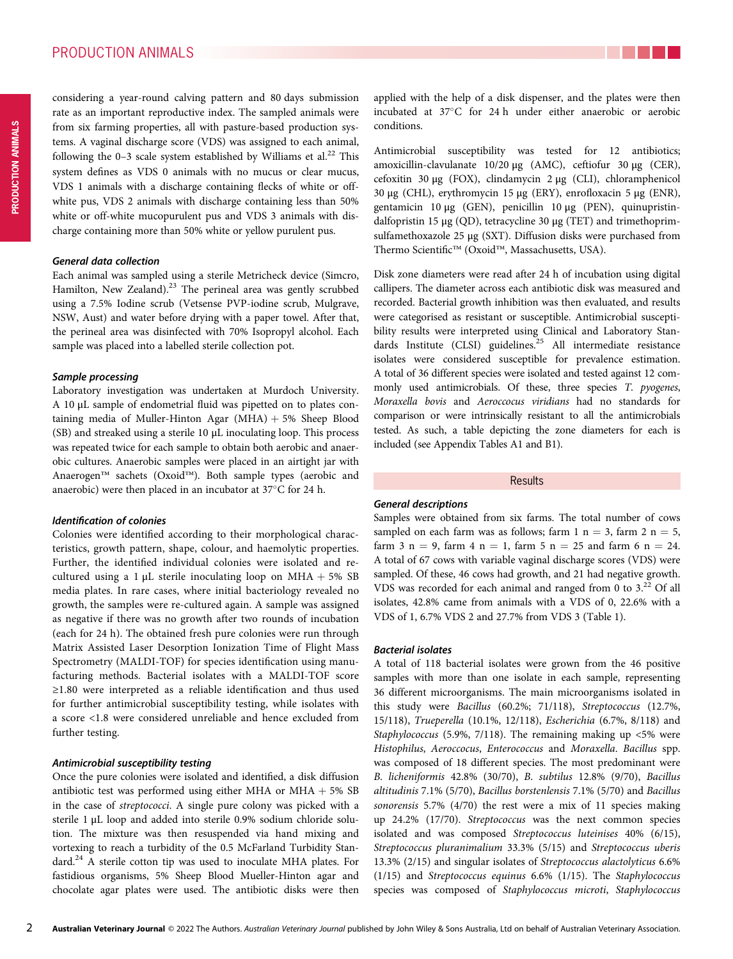considering a year-round calving pattern and 80 days submission rate as an important reproductive index. The sampled animals were from six farming properties, all with pasture-based production systems. A vaginal discharge score (VDS) was assigned to each animal, following the 0–3 scale system established by Williams et al.<sup>22</sup> This system defines as VDS 0 animals with no mucus or clear mucus, VDS 1 animals with a discharge containing flecks of white or offwhite pus, VDS 2 animals with discharge containing less than 50% white or off-white mucopurulent pus and VDS 3 animals with discharge containing more than 50% white or yellow purulent pus.

#### General data collection

Each animal was sampled using a sterile Metricheck device (Simcro, Hamilton, New Zealand).<sup>23</sup> The perineal area was gently scrubbed using a 7.5% Iodine scrub (Vetsense PVP-iodine scrub, Mulgrave, NSW, Aust) and water before drying with a paper towel. After that, the perineal area was disinfected with 70% Isopropyl alcohol. Each sample was placed into a labelled sterile collection pot.

#### Sample processing

Laboratory investigation was undertaken at Murdoch University. A 10 μL sample of endometrial fluid was pipetted on to plates containing media of Muller-Hinton Agar  $(MHA) + 5%$  Sheep Blood (SB) and streaked using a sterile 10 μL inoculating loop. This process was repeated twice for each sample to obtain both aerobic and anaerobic cultures. Anaerobic samples were placed in an airtight jar with Anaerogen™ sachets (Oxoid™). Both sample types (aerobic and anaerobic) were then placed in an incubator at  $37^{\circ}$ C for 24 h.

#### Identification of colonies

Colonies were identified according to their morphological characteristics, growth pattern, shape, colour, and haemolytic properties. Further, the identified individual colonies were isolated and recultured using a 1  $\mu$ L sterile inoculating loop on MHA + 5% SB media plates. In rare cases, where initial bacteriology revealed no growth, the samples were re-cultured again. A sample was assigned as negative if there was no growth after two rounds of incubation (each for 24 h). The obtained fresh pure colonies were run through Matrix Assisted Laser Desorption Ionization Time of Flight Mass Spectrometry (MALDI-TOF) for species identification using manufacturing methods. Bacterial isolates with a MALDI-TOF score ≥1.80 were interpreted as a reliable identification and thus used for further antimicrobial susceptibility testing, while isolates with a score <1.8 were considered unreliable and hence excluded from further testing.

## Antimicrobial susceptibility testing

Once the pure colonies were isolated and identified, a disk diffusion antibiotic test was performed using either MHA or MHA + 5%  $SB$ in the case of streptococci. A single pure colony was picked with a sterile 1 μL loop and added into sterile 0.9% sodium chloride solution. The mixture was then resuspended via hand mixing and vortexing to reach a turbidity of the 0.5 McFarland Turbidity Standard.<sup>24</sup> A sterile cotton tip was used to inoculate MHA plates. For fastidious organisms, 5% Sheep Blood Mueller-Hinton agar and chocolate agar plates were used. The antibiotic disks were then

applied with the help of a disk dispenser, and the plates were then incubated at 37°C for 24 h under either anaerobic or aerobic conditions.

Antimicrobial susceptibility was tested for 12 antibiotics; amoxicillin-clavulanate 10/20 μg (AMC), ceftiofur 30 μg (CER), cefoxitin 30 μg (FOX), clindamycin 2 μg (CLI), chloramphenicol 30 μg (CHL), erythromycin 15 μg (ERY), enrofloxacin 5 μg (ENR), gentamicin 10 μg (GEN), penicillin 10 μg (PEN), quinupristindalfopristin 15 μg (QD), tetracycline 30 μg (TET) and trimethoprimsulfamethoxazole 25 μg (SXT). Diffusion disks were purchased from Thermo Scientific™ (Oxoid™, Massachusetts, USA).

Disk zone diameters were read after 24 h of incubation using digital callipers. The diameter across each antibiotic disk was measured and recorded. Bacterial growth inhibition was then evaluated, and results were categorised as resistant or susceptible. Antimicrobial susceptibility results were interpreted using Clinical and Laboratory Standards Institute (CLSI) guidelines.<sup>25</sup> All intermediate resistance isolates were considered susceptible for prevalence estimation. A total of 36 different species were isolated and tested against 12 commonly used antimicrobials. Of these, three species T. pyogenes, Moraxella bovis and Aeroccocus viridians had no standards for comparison or were intrinsically resistant to all the antimicrobials tested. As such, a table depicting the zone diameters for each is included (see Appendix Tables A1 and B1).

# Results

#### General descriptions

Samples were obtained from six farms. The total number of cows sampled on each farm was as follows; farm 1  $n = 3$ , farm 2  $n = 5$ , farm 3 n = 9, farm 4 n = 1, farm 5 n = 25 and farm 6 n = 24. A total of 67 cows with variable vaginal discharge scores (VDS) were sampled. Of these, 46 cows had growth, and 21 had negative growth. VDS was recorded for each animal and ranged from 0 to 3.<sup>22</sup> Of all isolates, 42.8% came from animals with a VDS of 0, 22.6% with a VDS of 1, 6.7% VDS 2 and 27.7% from VDS 3 (Table 1).

#### Bacterial isolates

A total of 118 bacterial isolates were grown from the 46 positive samples with more than one isolate in each sample, representing 36 different microorganisms. The main microorganisms isolated in this study were Bacillus (60.2%; 71/118), Streptococcus (12.7%, 15/118), Trueperella (10.1%, 12/118), Escherichia (6.7%, 8/118) and Staphylococcus (5.9%, 7/118). The remaining making up <5% were Histophilus, Aeroccocus, Enterococcus and Moraxella. Bacillus spp. was composed of 18 different species. The most predominant were B. licheniformis 42.8% (30/70), B. subtilus 12.8% (9/70), Bacillus altitudinis 7.1% (5/70), Bacillus borstenlensis 7.1% (5/70) and Bacillus sonorensis 5.7% (4/70) the rest were a mix of 11 species making up 24.2% (17/70). Streptococcus was the next common species isolated and was composed Streptococcus luteinises 40% (6/15), Streptococcus pluranimalium 33.3% (5/15) and Streptococcus uberis 13.3% (2/15) and singular isolates of Streptococcus alactolyticus 6.6% (1/15) and Streptococcus equinus 6.6% (1/15). The Staphylococcus species was composed of Staphylococcus microti, Staphylococcus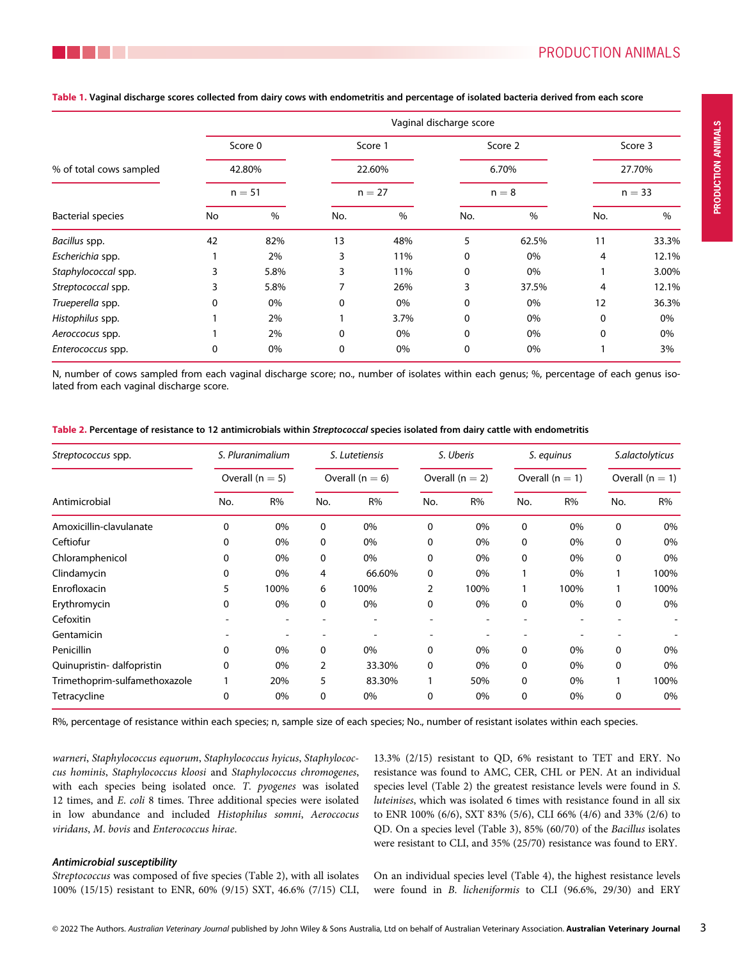|                          | Vaginal discharge score |          |     |          |     |         |                               |       |  |  |
|--------------------------|-------------------------|----------|-----|----------|-----|---------|-------------------------------|-------|--|--|
|                          |                         | Score 0  |     | Score 1  |     | Score 2 | Score 3<br>27.70%<br>$n = 33$ |       |  |  |
| % of total cows sampled  |                         | 42.80%   |     | 22.60%   |     | 6.70%   |                               |       |  |  |
|                          |                         | $n = 51$ |     | $n = 27$ |     | $n = 8$ |                               |       |  |  |
| <b>Bacterial species</b> | No                      | $\%$     | No. | %        | No. | %       | No.                           | $\%$  |  |  |
| Bacillus spp.            | 42                      | 82%      | 13  | 48%      | 5   | 62.5%   | 11                            | 33.3% |  |  |
| Escherichia spp.         |                         | 2%       | 3   | 11%      | 0   | 0%      | 4                             | 12.1% |  |  |
| Staphylococcal spp.      | 3                       | 5.8%     | 3   | 11%      | 0   | 0%      |                               | 3.00% |  |  |
| Streptococcal spp.       |                         | 5.8%     | 7   | 26%      | 3   | 37.5%   | 4                             | 12.1% |  |  |
| Trueperella spp.         | 0                       | 0%       | 0   | 0%       | 0   | 0%      | 12                            | 36.3% |  |  |
| Histophilus spp.         |                         | 2%       |     | 3.7%     | 0   | 0%      | 0                             | 0%    |  |  |
| Aeroccocus spp.          |                         | 2%       | 0   | 0%       | 0   | 0%      | 0                             | 0%    |  |  |
| Enterococcus spp.        | 0                       | 0%       | 0   | 0%       | 0   | 0%      |                               | 3%    |  |  |
|                          |                         |          |     |          |     |         |                               |       |  |  |

Table 1. Vaginal discharge scores collected from dairy cows with endometritis and percentage of isolated bacteria derived from each score

N, number of cows sampled from each vaginal discharge score; no., number of isolates within each genus; %, percentage of each genus isolated from each vaginal discharge score.

| Streptococcus spp.            |          | S. Pluranimalium    |     | S. Lutetiensis    |     | S. Uberis         |     | S. equinus        | S.alactolyticus |                   |  |
|-------------------------------|----------|---------------------|-----|-------------------|-----|-------------------|-----|-------------------|-----------------|-------------------|--|
|                               |          | Overall ( $n = 5$ ) |     | Overall $(n = 6)$ |     | Overall $(n = 2)$ |     | Overall $(n = 1)$ |                 | Overall $(n = 1)$ |  |
| Antimicrobial                 | No.      | R%                  | No. | R%                | No. | R%                | No. | R%                | No.             | R%                |  |
| Amoxicillin-clavulanate       | $\Omega$ | 0%                  | 0   | 0%                | 0   | 0%                | 0   | 0%                | 0               | 0%                |  |
| Ceftiofur                     | 0        | 0%                  | 0   | 0%                | 0   | 0%                | 0   | 0%                | 0               | 0%                |  |
| Chloramphenicol               | 0        | 0%                  | 0   | 0%                | 0   | 0%                | 0   | 0%                | 0               | 0%                |  |
| Clindamycin                   | 0        | 0%                  | 4   | 66.60%            | 0   | 0%                |     | 0%                |                 | 100%              |  |
| Enrofloxacin                  | 5        | 100%                | 6   | 100%              | 2   | 100%              |     | 100%              |                 | 100%              |  |
| Erythromycin                  | 0        | 0%                  | 0   | 0%                | 0   | 0%                | 0   | 0%                | 0               | 0%                |  |
| Cefoxitin                     |          |                     |     |                   |     |                   |     |                   |                 |                   |  |
| Gentamicin                    |          |                     |     |                   |     |                   |     |                   |                 |                   |  |
| Penicillin                    | 0        | 0%                  | 0   | 0%                | 0   | 0%                | 0   | 0%                | 0               | 0%                |  |
| Quinupristin-dalfopristin     | 0        | 0%                  | 2   | 33.30%            | 0   | 0%                | 0   | 0%                | $\Omega$        | 0%                |  |
| Trimethoprim-sulfamethoxazole |          | 20%                 | 5   | 83.30%            |     | 50%               | 0   | 0%                |                 | 100%              |  |
| Tetracycline                  | 0        | 0%                  | 0   | 0%                | 0   | 0%                | 0   | 0%                | 0               | 0%                |  |

Table 2. Percentage of resistance to 12 antimicrobials within Streptococcal species isolated from dairy cattle with endometritis

R%, percentage of resistance within each species; n, sample size of each species; No., number of resistant isolates within each species.

warneri, Staphylococcus equorum, Staphylococcus hyicus, Staphylococcus hominis, Staphylococcus kloosi and Staphylococcus chromogenes, with each species being isolated once. T. pyogenes was isolated 12 times, and E. coli 8 times. Three additional species were isolated in low abundance and included Histophilus somni, Aeroccocus viridans, M. bovis and Enterococcus hirae.

#### Antimicrobial susceptibility

Streptococcus was composed of five species (Table 2), with all isolates 100% (15/15) resistant to ENR, 60% (9/15) SXT, 46.6% (7/15) CLI, 13.3% (2/15) resistant to QD, 6% resistant to TET and ERY. No resistance was found to AMC, CER, CHL or PEN. At an individual species level (Table 2) the greatest resistance levels were found in S. luteinises, which was isolated 6 times with resistance found in all six to ENR 100% (6/6), SXT 83% (5/6), CLI 66% (4/6) and 33% (2/6) to QD. On a species level (Table 3), 85% (60/70) of the Bacillus isolates were resistant to CLI, and 35% (25/70) resistance was found to ERY.

On an individual species level (Table 4), the highest resistance levels were found in B. licheniformis to CLI (96.6%, 29/30) and ERY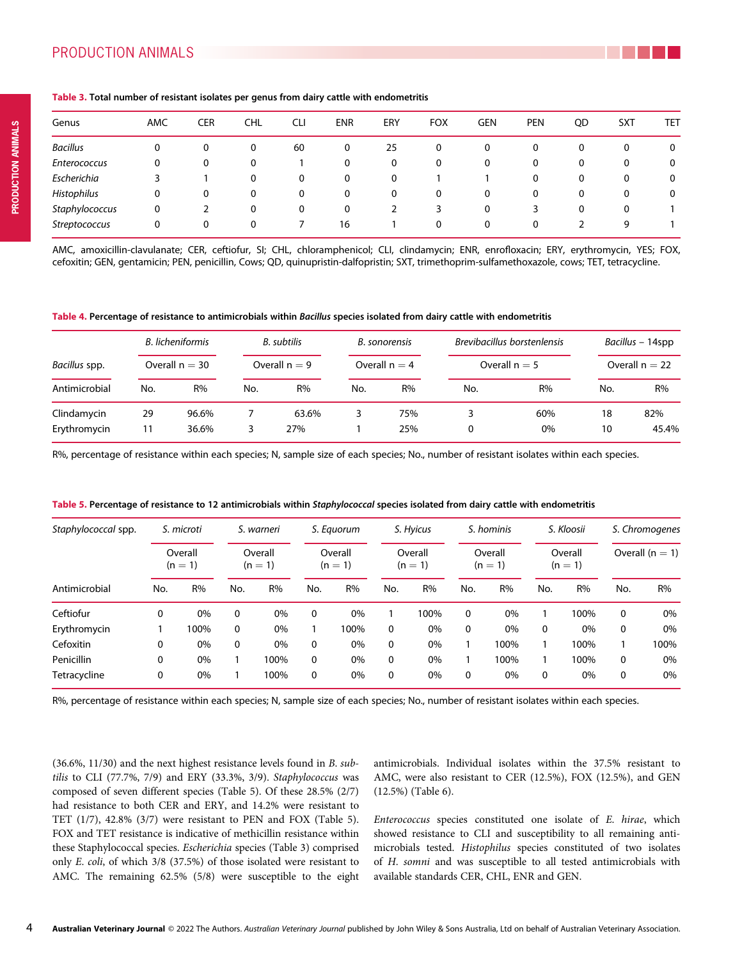| Genus              | AMC | CER | CHL | CLI | <b>ENR</b> | ERY          | <b>FOX</b> | GEN | <b>PEN</b> | QD | <b>SXT</b> | TET |
|--------------------|-----|-----|-----|-----|------------|--------------|------------|-----|------------|----|------------|-----|
| <b>Bacillus</b>    | 0   |     | 0   | 60  | 0          | 25           | 0          | 0   | 0          | 0  | 0          | 0   |
| Enterococcus       | 0   | 0   | 0   |     | 0          | 0            | 0          | 0   | 0          | 0  | 0          | 0   |
| Escherichia        |     |     | 0   | 0   | 0          | 0            |            |     | 0          | 0  | 0          | 0   |
| <b>Histophilus</b> | 0   | 0   | 0   | 0   | 0          | $\mathbf{0}$ | 0          | 0   | 0          | 0  | 0          | 0   |
| Staphylococcus     | 0   |     | 0   | 0   | 0          |              | 3          | 0   |            | 0  | 0          |     |
| Streptococcus      | 0   | 0   | 0   |     | 16         |              | 0          | 0   | 0          |    | 9          |     |

#### Table 3. Total number of resistant isolates per genus from dairy cattle with endometritis

AMC, amoxicillin-clavulanate; CER, ceftiofur, SI; CHL, chloramphenicol; CLI, clindamycin; ENR, enrofloxacin; ERY, erythromycin, YES; FOX, cefoxitin; GEN, gentamicin; PEN, penicillin, Cows; QD, quinupristin-dalfopristin; SXT, trimethoprim-sulfamethoxazole, cows; TET, tetracycline.

| Table 4. Percentage of resistance to antimicrobials within Bacillus species isolated from dairy cattle with endometritis |  |  |
|--------------------------------------------------------------------------------------------------------------------------|--|--|
|--------------------------------------------------------------------------------------------------------------------------|--|--|

|                             | B. licheniformis<br>Overall $n = 30$ |                |     | B. subtilis<br>Overall $n = 9$ |     | B. sonorensis<br>Overall $n = 4$ |     | Brevibacillus borstenlensis |          | Bacillus – 14spp<br>Overall $n = 22$ |  |  |
|-----------------------------|--------------------------------------|----------------|-----|--------------------------------|-----|----------------------------------|-----|-----------------------------|----------|--------------------------------------|--|--|
| Bacillus spp.               |                                      |                |     |                                |     |                                  |     | Overall $n = 5$             |          |                                      |  |  |
| Antimicrobial               | No.                                  | R%             | No. | R%                             | No. | R%                               | No. | R%                          | No.      | R%                                   |  |  |
| Clindamycin<br>Erythromycin | 29<br>11                             | 96.6%<br>36.6% | 3   | 63.6%<br>27%                   |     | 75%<br>25%                       | 0   | 60%<br>$0\%$                | 18<br>10 | 82%<br>45.4%                         |  |  |

R%, percentage of resistance within each species; N, sample size of each species; No., number of resistant isolates within each species.

| Staphylococcal spp. | S. microti<br>Overall<br>$(n=1)$ |      |                      | S. warneri |                    | S. Equorum |                      | S. Hyicus |                      | S. hominis |                      | S. Kloosii | S. Chromogenes    |       |
|---------------------|----------------------------------|------|----------------------|------------|--------------------|------------|----------------------|-----------|----------------------|------------|----------------------|------------|-------------------|-------|
|                     |                                  |      | Overall<br>$(n = 1)$ |            | Overall<br>$(n=1)$ |            | Overall<br>$(n = 1)$ |           | Overall<br>$(n = 1)$ |            | Overall<br>$(n = 1)$ |            | Overall $(n = 1)$ |       |
| Antimicrobial       | No.                              | R%   | No.                  | R%         | No.                | R%         | No.                  | R%        | No.                  | R%         | No.                  | R%         | No.               | R%    |
| Ceftiofur           | $\mathbf{0}$                     | 0%   | 0                    | 0%         | $\mathbf{0}$       | 0%         |                      | 100%      | 0                    | 0%         |                      | 100%       | 0                 | $0\%$ |
| Erythromycin        |                                  | 100% | $\Omega$             | 0%         |                    | 100%       | 0                    | 0%        | $\Omega$             | 0%         | $\Omega$             | 0%         | $\Omega$          | $0\%$ |
| Cefoxitin           | $\mathbf{0}$                     | 0%   | 0                    | 0%         | $\mathbf{0}$       | 0%         | 0                    | 0%        |                      | 100%       |                      | 100%       |                   | 100%  |
| <b>Penicillin</b>   | $\mathbf{0}$                     | 0%   |                      | 100%       | $\mathbf{0}$       | 0%         | 0                    | 0%        |                      | 100%       |                      | 100%       | 0                 | $0\%$ |
| Tetracycline        | $\mathbf{0}$                     | 0%   |                      | 100%       | 0                  | 0%         | 0                    | 0%        | 0                    | 0%         | 0                    | 0%         | 0                 | $0\%$ |

Table 5. Percentage of resistance to 12 antimicrobials within Staphylococcal species isolated from dairy cattle with endometritis

R%, percentage of resistance within each species; N, sample size of each species; No., number of resistant isolates within each species.

(36.6%, 11/30) and the next highest resistance levels found in B. subtilis to CLI (77.7%, 7/9) and ERY (33.3%, 3/9). Staphylococcus was composed of seven different species (Table 5). Of these 28.5% (2/7) had resistance to both CER and ERY, and 14.2% were resistant to TET (1/7), 42.8% (3/7) were resistant to PEN and FOX (Table 5). FOX and TET resistance is indicative of methicillin resistance within these Staphylococcal species. Escherichia species (Table 3) comprised only E. coli, of which 3/8 (37.5%) of those isolated were resistant to AMC. The remaining 62.5% (5/8) were susceptible to the eight antimicrobials. Individual isolates within the 37.5% resistant to AMC, were also resistant to CER (12.5%), FOX (12.5%), and GEN (12.5%) (Table 6).

Enterococcus species constituted one isolate of E. hirae, which showed resistance to CLI and susceptibility to all remaining antimicrobials tested. Histophilus species constituted of two isolates of H. somni and was susceptible to all tested antimicrobials with available standards CER, CHL, ENR and GEN.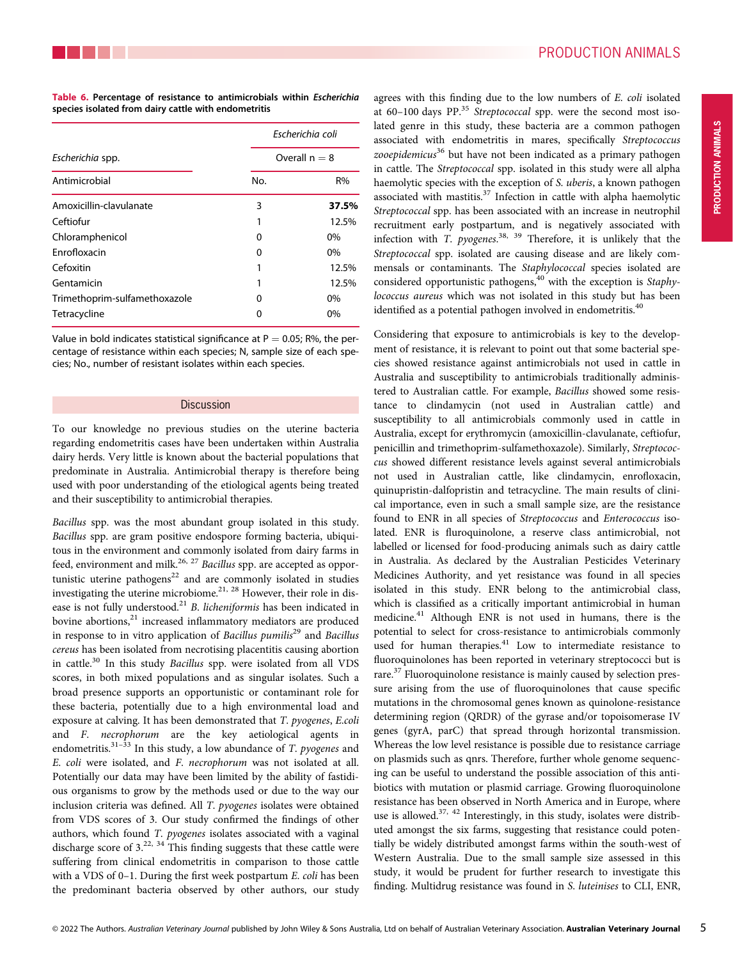|                               |     | Escherichia coli |
|-------------------------------|-----|------------------|
| Escherichia spp.              |     | Overall $n = 8$  |
| Antimicrobial                 | No. | R%               |
| Amoxicillin-clavulanate       | 3   | 37.5%            |
| Ceftiofur                     |     | 12.5%            |
| Chloramphenicol               | Ω   | $0\%$            |
| <b>Fnrofloxacin</b>           | 0   | 0%               |
| Cefoxitin                     | 1   | 12.5%            |
| Gentamicin                    | 1   | 12.5%            |
| Trimethoprim-sulfamethoxazole | Ω   | $0\%$            |
| Tetracycline                  | 0   | $0\%$            |

Table 6. Percentage of resistance to antimicrobials within Escherichia species isolated from dairy cattle with endometritis

Value in bold indicates statistical significance at  $P = 0.05$ ; R%, the percentage of resistance within each species; N, sample size of each species; No., number of resistant isolates within each species.

#### **Discussion**

To our knowledge no previous studies on the uterine bacteria regarding endometritis cases have been undertaken within Australia dairy herds. Very little is known about the bacterial populations that predominate in Australia. Antimicrobial therapy is therefore being used with poor understanding of the etiological agents being treated and their susceptibility to antimicrobial therapies.

Bacillus spp. was the most abundant group isolated in this study. Bacillus spp. are gram positive endospore forming bacteria, ubiquitous in the environment and commonly isolated from dairy farms in feed, environment and milk.<sup>26, 27</sup> Bacillus spp. are accepted as opportunistic uterine pathogens<sup>22</sup> and are commonly isolated in studies investigating the uterine microbiome.<sup>21, 28</sup> However, their role in disease is not fully understood.<sup>21</sup> B. licheniformis has been indicated in bovine abortions, $21$  increased inflammatory mediators are produced in response to in vitro application of Bacillus pumilis<sup>29</sup> and Bacillus cereus has been isolated from necrotising placentitis causing abortion in cattle.<sup>30</sup> In this study Bacillus spp. were isolated from all VDS scores, in both mixed populations and as singular isolates. Such a broad presence supports an opportunistic or contaminant role for these bacteria, potentially due to a high environmental load and exposure at calving. It has been demonstrated that T. pyogenes, E.coli and F. necrophorum are the key aetiological agents in endometritis. $31-33$  In this study, a low abundance of T. pyogenes and E. coli were isolated, and F. necrophorum was not isolated at all. Potentially our data may have been limited by the ability of fastidious organisms to grow by the methods used or due to the way our inclusion criteria was defined. All T. pyogenes isolates were obtained from VDS scores of 3. Our study confirmed the findings of other authors, which found T. pyogenes isolates associated with a vaginal discharge score of  $3^{22, 34}$ . This finding suggests that these cattle were suffering from clinical endometritis in comparison to those cattle with a VDS of 0–1. During the first week postpartum E. coli has been the predominant bacteria observed by other authors, our study

agrees with this finding due to the low numbers of E. coli isolated at  $60-100$  days PP.<sup>35</sup> Streptococcal spp. were the second most isolated genre in this study, these bacteria are a common pathogen associated with endometritis in mares, specifically Streptococcus zooepidemicus<sup>36</sup> but have not been indicated as a primary pathogen in cattle. The Streptococcal spp. isolated in this study were all alpha haemolytic species with the exception of S. uberis, a known pathogen associated with mastitis.<sup>37</sup> Infection in cattle with alpha haemolytic Streptococcal spp. has been associated with an increase in neutrophil recruitment early postpartum, and is negatively associated with infection with *T. pyogenes.*<sup>38, 39</sup> Therefore, it is unlikely that the Streptococcal spp. isolated are causing disease and are likely commensals or contaminants. The Staphylococcal species isolated are considered opportunistic pathogens,<sup>40</sup> with the exception is Staphylococcus aureus which was not isolated in this study but has been identified as a potential pathogen involved in endometritis.<sup>40</sup>

Considering that exposure to antimicrobials is key to the development of resistance, it is relevant to point out that some bacterial species showed resistance against antimicrobials not used in cattle in Australia and susceptibility to antimicrobials traditionally administered to Australian cattle. For example, Bacillus showed some resistance to clindamycin (not used in Australian cattle) and susceptibility to all antimicrobials commonly used in cattle in Australia, except for erythromycin (amoxicillin-clavulanate, ceftiofur, penicillin and trimethoprim-sulfamethoxazole). Similarly, Streptococcus showed different resistance levels against several antimicrobials not used in Australian cattle, like clindamycin, enrofloxacin, quinupristin-dalfopristin and tetracycline. The main results of clinical importance, even in such a small sample size, are the resistance found to ENR in all species of Streptococcus and Enterococcus isolated. ENR is fluroquinolone, a reserve class antimicrobial, not labelled or licensed for food-producing animals such as dairy cattle in Australia. As declared by the Australian Pesticides Veterinary Medicines Authority, and yet resistance was found in all species isolated in this study. ENR belong to the antimicrobial class, which is classified as a critically important antimicrobial in human medicine.41 Although ENR is not used in humans, there is the potential to select for cross-resistance to antimicrobials commonly used for human therapies.<sup>41</sup> Low to intermediate resistance to fluoroquinolones has been reported in veterinary streptococci but is rare.<sup>37</sup> Fluoroquinolone resistance is mainly caused by selection pressure arising from the use of fluoroquinolones that cause specific mutations in the chromosomal genes known as quinolone-resistance determining region (QRDR) of the gyrase and/or topoisomerase IV genes (gyrA, parC) that spread through horizontal transmission. Whereas the low level resistance is possible due to resistance carriage on plasmids such as qnrs. Therefore, further whole genome sequencing can be useful to understand the possible association of this antibiotics with mutation or plasmid carriage. Growing fluoroquinolone resistance has been observed in North America and in Europe, where use is allowed. $37, 42$  Interestingly, in this study, isolates were distributed amongst the six farms, suggesting that resistance could potentially be widely distributed amongst farms within the south-west of Western Australia. Due to the small sample size assessed in this study, it would be prudent for further research to investigate this finding. Multidrug resistance was found in S. luteinises to CLI, ENR,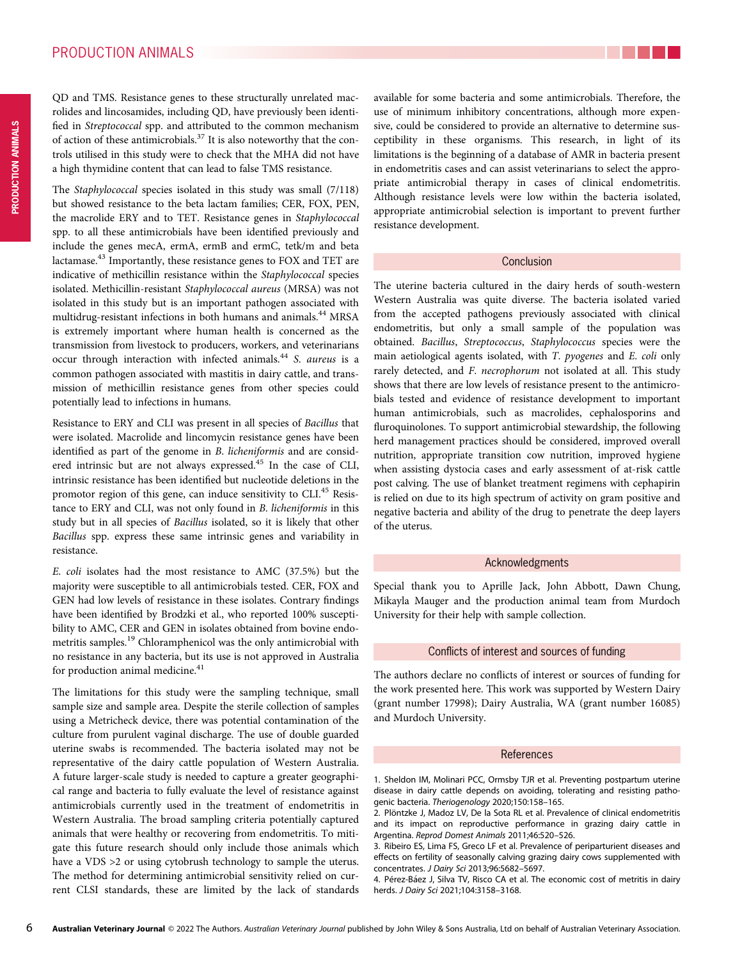The Staphylococcal species isolated in this study was small (7/118) but showed resistance to the beta lactam families; CER, FOX, PEN, the macrolide ERY and to TET. Resistance genes in Staphylococcal spp. to all these antimicrobials have been identified previously and include the genes mecA, ermA, ermB and ermC, tetk/m and beta lactamase.43 Importantly, these resistance genes to FOX and TET are indicative of methicillin resistance within the Staphylococcal species isolated. Methicillin-resistant Staphylococcal aureus (MRSA) was not isolated in this study but is an important pathogen associated with multidrug-resistant infections in both humans and animals.<sup>44</sup> MRSA is extremely important where human health is concerned as the transmission from livestock to producers, workers, and veterinarians occur through interaction with infected animals.<sup>44</sup> S. aureus is a common pathogen associated with mastitis in dairy cattle, and transmission of methicillin resistance genes from other species could potentially lead to infections in humans.

Resistance to ERY and CLI was present in all species of Bacillus that were isolated. Macrolide and lincomycin resistance genes have been identified as part of the genome in B. licheniformis and are considered intrinsic but are not always expressed.<sup>45</sup> In the case of CLI, intrinsic resistance has been identified but nucleotide deletions in the promotor region of this gene, can induce sensitivity to CLI.<sup>45</sup> Resistance to ERY and CLI, was not only found in B. licheniformis in this study but in all species of Bacillus isolated, so it is likely that other Bacillus spp. express these same intrinsic genes and variability in resistance.

E. coli isolates had the most resistance to AMC (37.5%) but the majority were susceptible to all antimicrobials tested. CER, FOX and GEN had low levels of resistance in these isolates. Contrary findings have been identified by Brodzki et al., who reported 100% susceptibility to AMC, CER and GEN in isolates obtained from bovine endometritis samples.<sup>19</sup> Chloramphenicol was the only antimicrobial with no resistance in any bacteria, but its use is not approved in Australia for production animal medicine.<sup>41</sup>

The limitations for this study were the sampling technique, small sample size and sample area. Despite the sterile collection of samples using a Metricheck device, there was potential contamination of the culture from purulent vaginal discharge. The use of double guarded uterine swabs is recommended. The bacteria isolated may not be representative of the dairy cattle population of Western Australia. A future larger-scale study is needed to capture a greater geographical range and bacteria to fully evaluate the level of resistance against antimicrobials currently used in the treatment of endometritis in Western Australia. The broad sampling criteria potentially captured animals that were healthy or recovering from endometritis. To mitigate this future research should only include those animals which have a VDS >2 or using cytobrush technology to sample the uterus. The method for determining antimicrobial sensitivity relied on current CLSI standards, these are limited by the lack of standards

available for some bacteria and some antimicrobials. Therefore, the use of minimum inhibitory concentrations, although more expensive, could be considered to provide an alternative to determine susceptibility in these organisms. This research, in light of its limitations is the beginning of a database of AMR in bacteria present in endometritis cases and can assist veterinarians to select the appropriate antimicrobial therapy in cases of clinical endometritis. Although resistance levels were low within the bacteria isolated, appropriate antimicrobial selection is important to prevent further resistance development.

## Conclusion

The uterine bacteria cultured in the dairy herds of south-western Western Australia was quite diverse. The bacteria isolated varied from the accepted pathogens previously associated with clinical endometritis, but only a small sample of the population was obtained. Bacillus, Streptococcus, Staphylococcus species were the main aetiological agents isolated, with T. pyogenes and E. coli only rarely detected, and F. necrophorum not isolated at all. This study shows that there are low levels of resistance present to the antimicrobials tested and evidence of resistance development to important human antimicrobials, such as macrolides, cephalosporins and fluroquinolones. To support antimicrobial stewardship, the following herd management practices should be considered, improved overall nutrition, appropriate transition cow nutrition, improved hygiene when assisting dystocia cases and early assessment of at-risk cattle post calving. The use of blanket treatment regimens with cephapirin is relied on due to its high spectrum of activity on gram positive and negative bacteria and ability of the drug to penetrate the deep layers of the uterus.

# Acknowledgments

Special thank you to Aprille Jack, John Abbott, Dawn Chung, Mikayla Mauger and the production animal team from Murdoch University for their help with sample collection.

#### Conflicts of interest and sources of funding

The authors declare no conflicts of interest or sources of funding for the work presented here. This work was supported by Western Dairy (grant number 17998); Dairy Australia, WA (grant number 16085) and Murdoch University.

#### References

1. Sheldon IM, Molinari PCC, Ormsby TJR et al. Preventing postpartum uterine disease in dairy cattle depends on avoiding, tolerating and resisting pathogenic bacteria. Theriogenology 2020;150:158–165.

<sup>2.</sup> Plöntzke J, Madoz LV, De la Sota RL et al. Prevalence of clinical endometritis and its impact on reproductive performance in grazing dairy cattle in Argentina. Reprod Domest Animals 2011;46:520–526.

<sup>3.</sup> Ribeiro ES, Lima FS, Greco LF et al. Prevalence of periparturient diseases and effects on fertility of seasonally calving grazing dairy cows supplemented with concentrates. J Dairy Sci 2013;96:5682–5697.

<sup>4.</sup> Pérez-Báez J, Silva TV, Risco CA et al. The economic cost of metritis in dairy herds. J Dairy Sci 2021;104:3158–3168.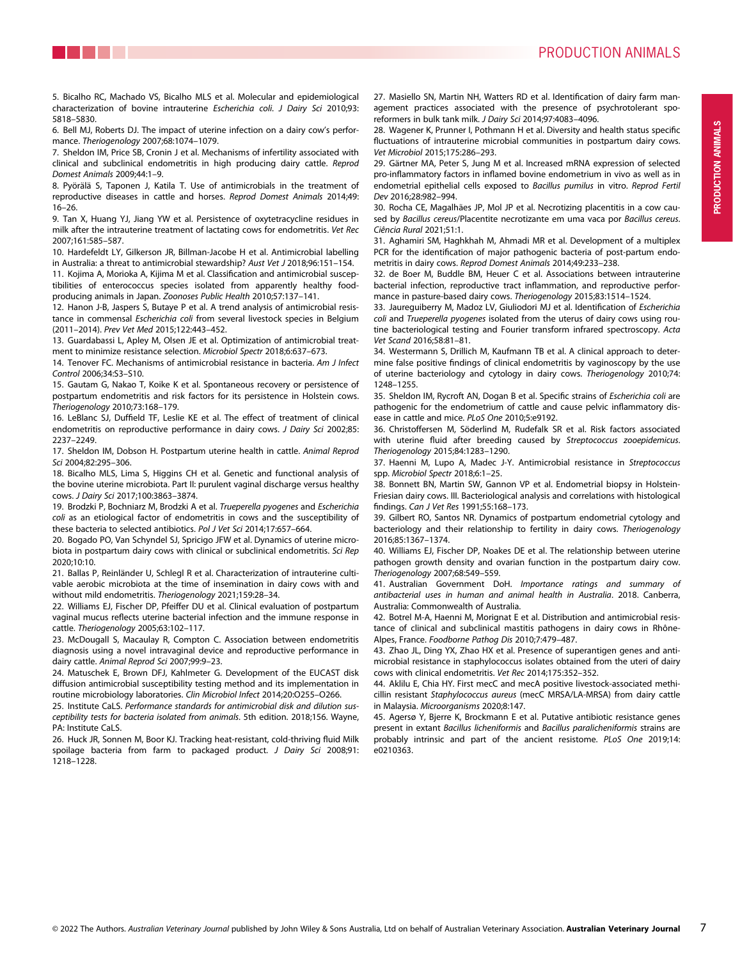

28. Wagener K, Prunner I, Pothmann H et al. Diversity and health status specific fluctuations of intrauterine microbial communities in postpartum dairy cows. Vet Microbiol 2015;175:286–293.

29. Gärtner MA, Peter S, Jung M et al. Increased mRNA expression of selected pro-inflammatory factors in inflamed bovine endometrium in vivo as well as in endometrial epithelial cells exposed to Bacillus pumilus in vitro. Reprod Fertil Dev 2016;28:982–994.

30. Rocha CE, Magalhães JP, Mol JP et al. Necrotizing placentitis in a cow caused by Bacillus cereus/Placentite necrotizante em uma vaca por Bacillus cereus. Ciência Rural 2021;51:1.

31. Aghamiri SM, Haghkhah M, Ahmadi MR et al. Development of a multiplex PCR for the identification of major pathogenic bacteria of post-partum endometritis in dairy cows. Reprod Domest Animals 2014;49:233–238.

32. de Boer M, Buddle BM, Heuer C et al. Associations between intrauterine bacterial infection, reproductive tract inflammation, and reproductive performance in pasture-based dairy cows. Theriogenology 2015;83:1514–1524.

33. Jaureguiberry M, Madoz LV, Giuliodori MJ et al. Identification of Escherichia coli and Trueperella pyogenes isolated from the uterus of dairy cows using routine bacteriological testing and Fourier transform infrared spectroscopy. Acta Vet Scand 2016;58:81–81.

34. Westermann S, Drillich M, Kaufmann TB et al. A clinical approach to determine false positive findings of clinical endometritis by vaginoscopy by the use of uterine bacteriology and cytology in dairy cows. Theriogenology 2010;74: 1248–1255.

35. Sheldon IM, Rycroft AN, Dogan B et al. Specific strains of Escherichia coli are pathogenic for the endometrium of cattle and cause pelvic inflammatory disease in cattle and mice. PLoS One 2010;5:e9192.

36. Christoffersen M, Söderlind M, Rudefalk SR et al. Risk factors associated with uterine fluid after breeding caused by Streptococcus zooepidemicus. Theriogenology 2015;84:1283–1290.

37. Haenni M, Lupo A, Madec J-Y. Antimicrobial resistance in Streptococcus spp. Microbiol Spectr 2018;6:1–25.

38. Bonnett BN, Martin SW, Gannon VP et al. Endometrial biopsy in Holstein-Friesian dairy cows. III. Bacteriological analysis and correlations with histological findings. Can J Vet Res 1991;55:168–173.

39. Gilbert RO, Santos NR. Dynamics of postpartum endometrial cytology and bacteriology and their relationship to fertility in dairy cows. Theriogenology 2016;85:1367–1374.

40. Williams EJ, Fischer DP, Noakes DE et al. The relationship between uterine pathogen growth density and ovarian function in the postpartum dairy cow. Theriogenology 2007;68:549–559.

41. Australian Government DoH. Importance ratings and summary of antibacterial uses in human and animal health in Australia. 2018. Canberra, Australia: Commonwealth of Australia.

42. Botrel M-A, Haenni M, Morignat E et al. Distribution and antimicrobial resistance of clinical and subclinical mastitis pathogens in dairy cows in Rhône-Alpes, France. Foodborne Pathog Dis 2010;7:479–487.

43. Zhao JL, Ding YX, Zhao HX et al. Presence of superantigen genes and antimicrobial resistance in staphylococcus isolates obtained from the uteri of dairy cows with clinical endometritis. Vet Rec 2014;175:352–352.

44. Aklilu E, Chia HY. First mecC and mecA positive livestock-associated methicillin resistant Staphylococcus aureus (mecC MRSA/LA-MRSA) from dairy cattle in Malaysia. Microorganisms 2020;8:147.

45. Agersø Y, Bjerre K, Brockmann E et al. Putative antibiotic resistance genes present in extant Bacillus licheniformis and Bacillus paralicheniformis strains are probably intrinsic and part of the ancient resistome. PLoS One 2019;14: e0210363.

6. Bell MJ, Roberts DJ. The impact of uterine infection on a dairy cow's performance. Theriogenology 2007;68:1074–1079.

7. Sheldon IM, Price SB, Cronin J et al. Mechanisms of infertility associated with clinical and subclinical endometritis in high producing dairy cattle. Reprod Domest Animals 2009;44:1–9.

8. Pyörälä S, Taponen J, Katila T. Use of antimicrobials in the treatment of reproductive diseases in cattle and horses. Reprod Domest Animals 2014;49: 16–26.

9. Tan X, Huang YJ, Jiang YW et al. Persistence of oxytetracycline residues in milk after the intrauterine treatment of lactating cows for endometritis. Vet Rec 2007;161:585–587.

10. Hardefeldt LY, Gilkerson JR, Billman-Jacobe H et al. Antimicrobial labelling in Australia: a threat to antimicrobial stewardship? Aust Vet J 2018;96:151–154.

11. Kojima A, Morioka A, Kijima M et al. Classification and antimicrobial susceptibilities of enterococcus species isolated from apparently healthy foodproducing animals in Japan. Zoonoses Public Health 2010;57:137–141.

12. Hanon J-B, Jaspers S, Butaye P et al. A trend analysis of antimicrobial resistance in commensal Escherichia coli from several livestock species in Belgium (2011–2014). Prev Vet Med 2015;122:443–452.

13. Guardabassi L, Apley M, Olsen JE et al. Optimization of antimicrobial treatment to minimize resistance selection. Microbiol Spectr 2018;6:637–673.

14. Tenover FC. Mechanisms of antimicrobial resistance in bacteria. Am J Infect Control 2006;34:S3–S10.

15. Gautam G, Nakao T, Koike K et al. Spontaneous recovery or persistence of postpartum endometritis and risk factors for its persistence in Holstein cows. Theriogenology 2010;73:168–179.

16. LeBlanc SJ, Duffield TF, Leslie KE et al. The effect of treatment of clinical endometritis on reproductive performance in dairy cows. J Dairy Sci 2002;85: 2237–2249.

17. Sheldon IM, Dobson H. Postpartum uterine health in cattle. Animal Reprod Sci 2004;82:295–306.

18. Bicalho MLS, Lima S, Higgins CH et al. Genetic and functional analysis of the bovine uterine microbiota. Part II: purulent vaginal discharge versus healthy cows. J Dairy Sci 2017;100:3863–3874.

19. Brodzki P, Bochniarz M, Brodzki A et al. Trueperella pyogenes and Escherichia coli as an etiological factor of endometritis in cows and the susceptibility of these bacteria to selected antibiotics. Pol J Vet Sci 2014;17:657–664.

20. Bogado PO, Van Schyndel SJ, Spricigo JFW et al. Dynamics of uterine microbiota in postpartum dairy cows with clinical or subclinical endometritis. Sci Rep 2020;10:10.

21. Ballas P, Reinländer U, Schlegl R et al. Characterization of intrauterine cultivable aerobic microbiota at the time of insemination in dairy cows with and without mild endometritis. Theriogenology 2021;159:28–34.

22. Williams EJ, Fischer DP, Pfeiffer DU et al. Clinical evaluation of postpartum vaginal mucus reflects uterine bacterial infection and the immune response in cattle. Theriogenology 2005;63:102–117.

23. McDougall S, Macaulay R, Compton C. Association between endometritis diagnosis using a novel intravaginal device and reproductive performance in dairy cattle. Animal Reprod Sci 2007;99:9–23.

24. Matuschek E, Brown DFJ, Kahlmeter G. Development of the EUCAST disk diffusion antimicrobial susceptibility testing method and its implementation in routine microbiology laboratories. Clin Microbiol Infect 2014;20:O255–O266.

25. Institute CaLS. Performance standards for antimicrobial disk and dilution susceptibility tests for bacteria isolated from animals. 5th edition. 2018;156. Wayne, PA: Institute CaLS.

26. Huck JR, Sonnen M, Boor KJ. Tracking heat-resistant, cold-thriving fluid Milk spoilage bacteria from farm to packaged product. J Dairy Sci 2008;91: 1218–1228.